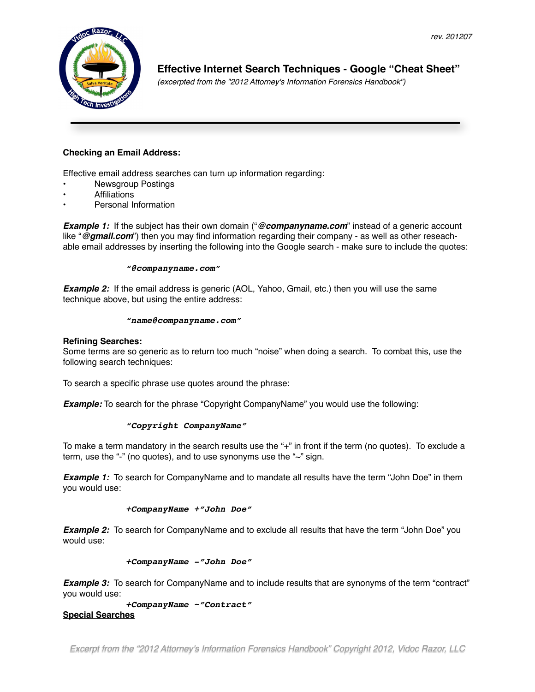

**! ! ! Effective Internet Search Techniques - Google "Cheat Sheet"** !!! *(excerpted from the "2012 Attorney's Information Forensics Handbook")*

## **Checking an Email Address:**

Effective email address searches can turn up information regarding:

- Newsgroup Postings
- Affiliations
- Personal Information

**Example 1:** If the subject has their own domain ("@companyname.com" instead of a generic account like "*@gmail.com*") then you may find information regarding their company - as well as other reseachable email addresses by inserting the following into the Google search - make sure to include the quotes:

#### ! ! *"@companyname.com"*

**Example 2:** If the email address is generic (AOL, Yahoo, Gmail, etc.) then you will use the same technique above, but using the entire address:

#### ! ! *"name@companyname.com"*

#### **Refining Searches:**

Some terms are so generic as to return too much "noise" when doing a search. To combat this, use the following search techniques:

To search a specific phrase use quotes around the phrase:

**Example:** To search for the phrase "Copyright CompanyName" you would use the following:

#### ! ! *"Copyright CompanyName"*

To make a term mandatory in the search results use the "+" in front if the term (no quotes). To exclude a term, use the "-" (no quotes), and to use synonyms use the "~" sign.

**Example 1:** To search for CompanyName and to mandate all results have the term "John Doe" in them you would use:

#### ! ! *+CompanyName +"John Doe"*

**Example 2:** To search for CompanyName and to exclude all results that have the term "John Doe" you would use:

#### ! ! *+CompanyName -"John Doe"*

**Example 3:** To search for CompanyName and to include results that are synonyms of the term "contract" you would use:

! ! *+CompanyName ~"Contract"* **Special Searches**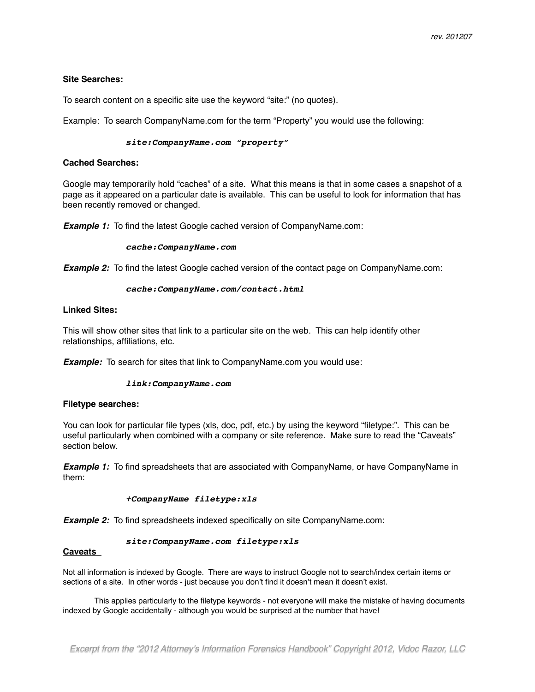#### **Site Searches:**

To search content on a specific site use the keyword "site:" (no quotes).

Example: To search CompanyName.com for the term "Property" you would use the following:

#### ! ! *site:CompanyName.com "property"*

#### **Cached Searches:**

Google may temporarily hold "caches" of a site. What this means is that in some cases a snapshot of a page as it appeared on a particular date is available. This can be useful to look for information that has been recently removed or changed.

**Example 1:** To find the latest Google cached version of CompanyName.com:

#### ! ! *cache:CompanyName.com*

**Example 2:** To find the latest Google cached version of the contact page on CompanyName.com:

#### ! ! *cache:CompanyName.com/contact.html*

### **Linked Sites:**

This will show other sites that link to a particular site on the web. This can help identify other relationships, affiliations, etc.

**Example:** To search for sites that link to CompanyName.com you would use:

#### ! ! *link:CompanyName.com*

#### **Filetype searches:**

You can look for particular file types (xls, doc, pdf, etc.) by using the keyword "filetype:". This can be useful particularly when combined with a company or site reference. Make sure to read the "Caveats" section below.

**Example 1:** To find spreadsheets that are associated with CompanyName, or have CompanyName in them:

#### ! ! *+CompanyName filetype:xls*

**Example 2:** To find spreadsheets indexed specifically on site CompanyName.com:

#### ! ! *site:CompanyName.com filetype:xls*

#### **Caveats**

Not all information is indexed by Google. There are ways to instruct Google not to search/index certain items or sections of a site. In other words - just because you don't find it doesn't mean it doesn't exist.

This applies particularly to the filetype keywords - not everyone will make the mistake of having documents indexed by Google accidentally - although you would be surprised at the number that have!